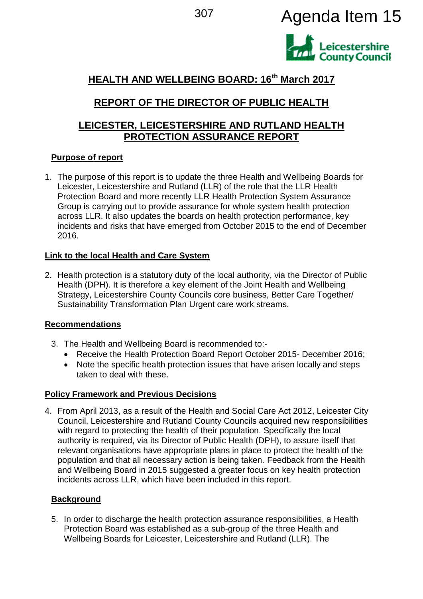<sup>307</sup> Agenda Item 15



# **HEALTH AND WELLBEING BOARD: 16th March 2017**

# **REPORT OF THE DIRECTOR OF PUBLIC HEALTH**

## **LEICESTER, LEICESTERSHIRE AND RUTLAND HEALTH PROTECTION ASSURANCE REPORT**

## **Purpose of report**

1. The purpose of this report is to update the three Health and Wellbeing Boards for Leicester, Leicestershire and Rutland (LLR) of the role that the LLR Health Protection Board and more recently LLR Health Protection System Assurance Group is carrying out to provide assurance for whole system health protection across LLR. It also updates the boards on health protection performance, key incidents and risks that have emerged from October 2015 to the end of December 2016.

## **Link to the local Health and Care System**

2. Health protection is a statutory duty of the local authority, via the Director of Public Health (DPH). It is therefore a key element of the Joint Health and Wellbeing Strategy, Leicestershire County Councils core business, Better Care Together/ Sustainability Transformation Plan Urgent care work streams.

## **Recommendations**

- 3. The Health and Wellbeing Board is recommended to:-
	- Receive the Health Protection Board Report October 2015- December 2016;
	- Note the specific health protection issues that have arisen locally and steps taken to deal with these.

## **Policy Framework and Previous Decisions**

4. From April 2013, as a result of the Health and Social Care Act 2012, Leicester City Council, Leicestershire and Rutland County Councils acquired new responsibilities with regard to protecting the health of their population. Specifically the local authority is required, via its Director of Public Health (DPH), to assure itself that relevant organisations have appropriate plans in place to protect the health of the population and that all necessary action is being taken. Feedback from the Health and Wellbeing Board in 2015 suggested a greater focus on key health protection incidents across LLR, which have been included in this report.

## **Background**

5. In order to discharge the health protection assurance responsibilities, a Health Protection Board was established as a sub-group of the three Health and Wellbeing Boards for Leicester, Leicestershire and Rutland (LLR). The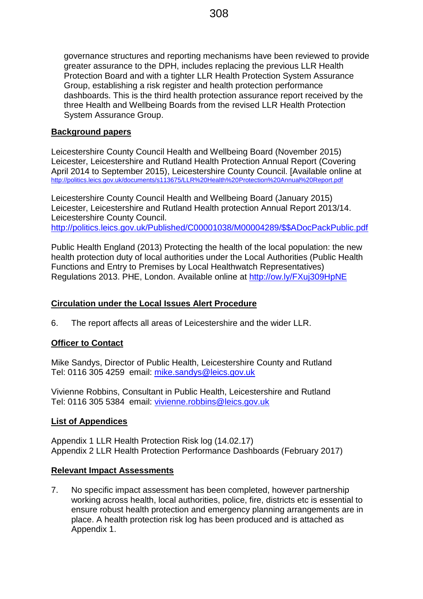governance structures and reporting mechanisms have been reviewed to provide greater assurance to the DPH, includes replacing the previous LLR Health Protection Board and with a tighter LLR Health Protection System Assurance Group, establishing a risk register and health protection performance dashboards. This is the third health protection assurance report received by the three Health and Wellbeing Boards from the revised LLR Health Protection System Assurance Group.

#### **Background papers**

Leicestershire County Council Health and Wellbeing Board (November 2015) Leicester, Leicestershire and Rutland Health Protection Annual Report (Covering April 2014 to September 2015), Leicestershire County Council. [Available online at <http://politics.leics.gov.uk/documents/s113675/LLR%20Health%20Protection%20Annual%20Report.pdf>

Leicestershire County Council Health and Wellbeing Board (January 2015) Leicester, Leicestershire and Rutland Health protection Annual Report 2013/14. Leicestershire County Council. [http://politics.leics.gov.uk/Published/C00001038/M00004289/\\$\\$ADocPackPublic.pdf](http://politics.leics.gov.uk/Published/C00001038/M00004289/$$ADocPackPublic.pdf)

Public Health England (2013) Protecting the health of the local population: the new health protection duty of local authorities under the Local Authorities (Public Health Functions and Entry to Premises by Local Healthwatch Representatives) Regulations 2013. PHE, London. Available online at<http://ow.ly/FXuj309HpNE>

#### **Circulation under the Local Issues Alert Procedure**

6. The report affects all areas of Leicestershire and the wider LLR.

#### **Officer to Contact**

Mike Sandys, Director of Public Health, Leicestershire County and Rutland Tel: 0116 305 4259 email: [mike.sandys@leics.gov.uk](mailto:mike.sandys@leics.gov.uk)

Vivienne Robbins, Consultant in Public Health, Leicestershire and Rutland Tel: 0116 305 5384 email: [vivienne.robbins@leics.gov.uk](mailto:vivienne.robbins@leics.gov.uk)

#### **List of Appendices**

Appendix 1 LLR Health Protection Risk log (14.02.17) Appendix 2 LLR Health Protection Performance Dashboards (February 2017)

#### **Relevant Impact Assessments**

7. No specific impact assessment has been completed, however partnership working across health, local authorities, police, fire, districts etc is essential to ensure robust health protection and emergency planning arrangements are in place. A health protection risk log has been produced and is attached as Appendix 1.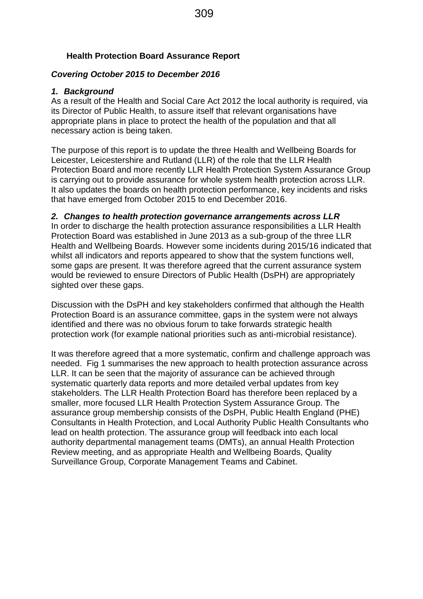## **Health Protection Board Assurance Report**

## *Covering October 2015 to December 2016*

## *1. Background*

As a result of the Health and Social Care Act 2012 the local authority is required, via its Director of Public Health, to assure itself that relevant organisations have appropriate plans in place to protect the health of the population and that all necessary action is being taken.

The purpose of this report is to update the three Health and Wellbeing Boards for Leicester, Leicestershire and Rutland (LLR) of the role that the LLR Health Protection Board and more recently LLR Health Protection System Assurance Group is carrying out to provide assurance for whole system health protection across LLR. It also updates the boards on health protection performance, key incidents and risks that have emerged from October 2015 to end December 2016.

## *2. Changes to health protection governance arrangements across LLR*

In order to discharge the health protection assurance responsibilities a LLR Health Protection Board was established in June 2013 as a sub-group of the three LLR Health and Wellbeing Boards. However some incidents during 2015/16 indicated that whilst all indicators and reports appeared to show that the system functions well, some gaps are present. It was therefore agreed that the current assurance system would be reviewed to ensure Directors of Public Health (DsPH) are appropriately sighted over these gaps.

Discussion with the DsPH and key stakeholders confirmed that although the Health Protection Board is an assurance committee, gaps in the system were not always identified and there was no obvious forum to take forwards strategic health protection work (for example national priorities such as anti-microbial resistance).

It was therefore agreed that a more systematic, confirm and challenge approach was needed. Fig 1 summarises the new approach to health protection assurance across LLR. It can be seen that the majority of assurance can be achieved through systematic quarterly data reports and more detailed verbal updates from key stakeholders. The LLR Health Protection Board has therefore been replaced by a smaller, more focused LLR Health Protection System Assurance Group. The assurance group membership consists of the DsPH, Public Health England (PHE) Consultants in Health Protection, and Local Authority Public Health Consultants who lead on health protection. The assurance group will feedback into each local authority departmental management teams (DMTs), an annual Health Protection Review meeting, and as appropriate Health and Wellbeing Boards, Quality Surveillance Group, Corporate Management Teams and Cabinet.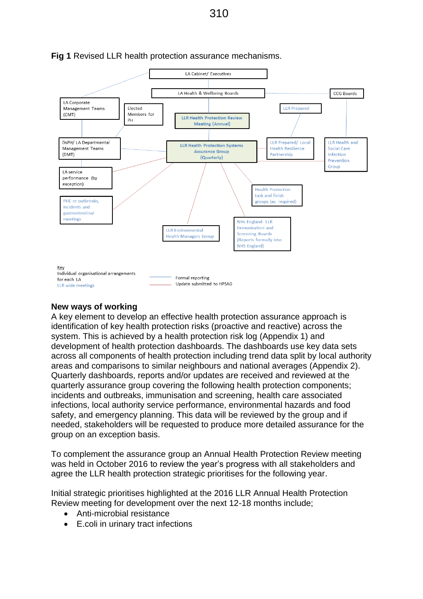

### **Fig 1** Revised LLR health protection assurance mechanisms.

#### **New ways of working**

A key element to develop an effective health protection assurance approach is identification of key health protection risks (proactive and reactive) across the system. This is achieved by a health protection risk log (Appendix 1) and development of health protection dashboards. The dashboards use key data sets across all components of health protection including trend data split by local authority areas and comparisons to similar neighbours and national averages (Appendix 2). Quarterly dashboards, reports and/or updates are received and reviewed at the quarterly assurance group covering the following health protection components; incidents and outbreaks, immunisation and screening, health care associated infections, local authority service performance, environmental hazards and food safety, and emergency planning. This data will be reviewed by the group and if needed, stakeholders will be requested to produce more detailed assurance for the group on an exception basis.

To complement the assurance group an Annual Health Protection Review meeting was held in October 2016 to review the year's progress with all stakeholders and agree the LLR health protection strategic prioritises for the following year.

Initial strategic prioritises highlighted at the 2016 LLR Annual Health Protection Review meeting for development over the next 12-18 months include;

- Anti-microbial resistance
- E.coli in urinary tract infections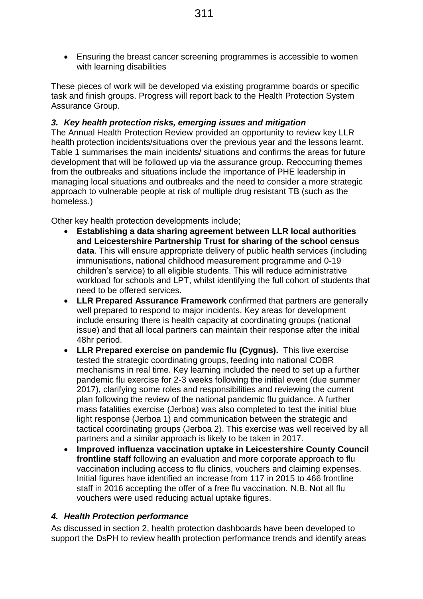Ensuring the breast cancer screening programmes is accessible to women with learning disabilities

These pieces of work will be developed via existing programme boards or specific task and finish groups. Progress will report back to the Health Protection System Assurance Group.

#### *3. Key health protection risks, emerging issues and mitigation*

The Annual Health Protection Review provided an opportunity to review key LLR health protection incidents/situations over the previous year and the lessons learnt. Table 1 summarises the main incidents/ situations and confirms the areas for future development that will be followed up via the assurance group. Reoccurring themes from the outbreaks and situations include the importance of PHE leadership in managing local situations and outbreaks and the need to consider a more strategic approach to vulnerable people at risk of multiple drug resistant TB (such as the homeless.)

Other key health protection developments include;

- **Establishing a data sharing agreement between LLR local authorities and Leicestershire Partnership Trust for sharing of the school census data**. This will ensure appropriate delivery of public health services (including immunisations, national childhood measurement programme and 0-19 children's service) to all eligible students. This will reduce administrative workload for schools and LPT, whilst identifying the full cohort of students that need to be offered services.
- **LLR Prepared Assurance Framework** confirmed that partners are generally well prepared to respond to major incidents. Key areas for development include ensuring there is health capacity at coordinating groups (national issue) and that all local partners can maintain their response after the initial 48hr period.
- **LLR Prepared exercise on pandemic flu (Cygnus).** This live exercise tested the strategic coordinating groups, feeding into national COBR mechanisms in real time. Key learning included the need to set up a further pandemic flu exercise for 2-3 weeks following the initial event (due summer 2017), clarifying some roles and responsibilities and reviewing the current plan following the review of the national pandemic flu guidance. A further mass fatalities exercise (Jerboa) was also completed to test the initial blue light response (Jerboa 1) and communication between the strategic and tactical coordinating groups (Jerboa 2). This exercise was well received by all partners and a similar approach is likely to be taken in 2017.
- **Improved influenza vaccination uptake in Leicestershire County Council frontline staff** following an evaluation and more corporate approach to flu vaccination including access to flu clinics, vouchers and claiming expenses. Initial figures have identified an increase from 117 in 2015 to 466 frontline staff in 2016 accepting the offer of a free flu vaccination. N.B. Not all flu vouchers were used reducing actual uptake figures.

#### *4. Health Protection performance*

As discussed in section 2, health protection dashboards have been developed to support the DsPH to review health protection performance trends and identify areas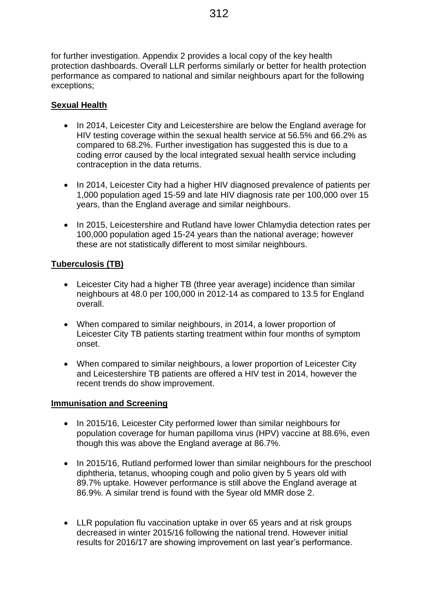for further investigation. Appendix 2 provides a local copy of the key health protection dashboards. Overall LLR performs similarly or better for health protection performance as compared to national and similar neighbours apart for the following exceptions;

## **Sexual Health**

- In 2014, Leicester City and Leicestershire are below the England average for HIV testing coverage within the sexual health service at 56.5% and 66.2% as compared to 68.2%. Further investigation has suggested this is due to a coding error caused by the local integrated sexual health service including contraception in the data returns.
- In 2014, Leicester City had a higher HIV diagnosed prevalence of patients per 1,000 population aged 15-59 and late HIV diagnosis rate per 100,000 over 15 years, than the England average and similar neighbours.
- In 2015, Leicestershire and Rutland have lower Chlamydia detection rates per 100,000 population aged 15-24 years than the national average; however these are not statistically different to most similar neighbours.

## **Tuberculosis (TB)**

- Leicester City had a higher TB (three year average) incidence than similar neighbours at 48.0 per 100,000 in 2012-14 as compared to 13.5 for England overall.
- When compared to similar neighbours, in 2014, a lower proportion of Leicester City TB patients starting treatment within four months of symptom onset.
- When compared to similar neighbours, a lower proportion of Leicester City and Leicestershire TB patients are offered a HIV test in 2014, however the recent trends do show improvement.

## **Immunisation and Screening**

- In 2015/16, Leicester City performed lower than similar neighbours for population coverage for human papilloma virus (HPV) vaccine at 88.6%, even though this was above the England average at 86.7%.
- In 2015/16, Rutland performed lower than similar neighbours for the preschool diphtheria, tetanus, whooping cough and polio given by 5 years old with 89.7% uptake. However performance is still above the England average at 86.9%. A similar trend is found with the 5year old MMR dose 2.
- LLR population flu vaccination uptake in over 65 years and at risk groups decreased in winter 2015/16 following the national trend. However initial results for 2016/17 are showing improvement on last year's performance.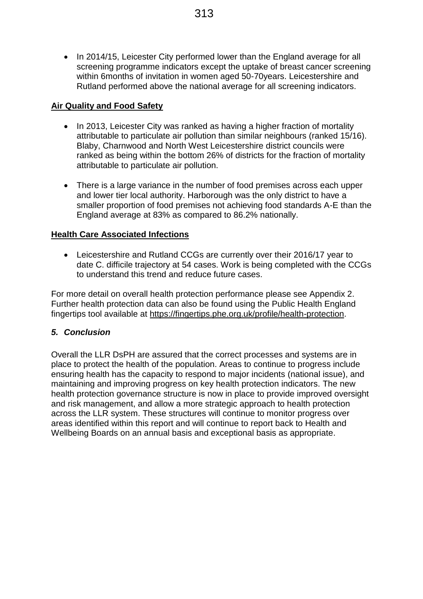• In 2014/15, Leicester City performed lower than the England average for all screening programme indicators except the uptake of breast cancer screening within 6months of invitation in women aged 50-70years. Leicestershire and Rutland performed above the national average for all screening indicators.

### **Air Quality and Food Safety**

- In 2013, Leicester City was ranked as having a higher fraction of mortality attributable to particulate air pollution than similar neighbours (ranked 15/16). Blaby, Charnwood and North West Leicestershire district councils were ranked as being within the bottom 26% of districts for the fraction of mortality attributable to particulate air pollution.
- There is a large variance in the number of food premises across each upper and lower tier local authority. Harborough was the only district to have a smaller proportion of food premises not achieving food standards A-E than the England average at 83% as compared to 86.2% nationally.

### **Health Care Associated Infections**

 Leicestershire and Rutland CCGs are currently over their 2016/17 year to date C. difficile trajectory at 54 cases. Work is being completed with the CCGs to understand this trend and reduce future cases.

For more detail on overall health protection performance please see Appendix 2. Further health protection data can also be found using the Public Health England fingertips tool available at [https://fingertips.phe.org.uk/profile/health-protection.](https://fingertips.phe.org.uk/profile/health-protection)

#### *5. Conclusion*

Overall the LLR DsPH are assured that the correct processes and systems are in place to protect the health of the population. Areas to continue to progress include ensuring health has the capacity to respond to major incidents (national issue), and maintaining and improving progress on key health protection indicators. The new health protection governance structure is now in place to provide improved oversight and risk management, and allow a more strategic approach to health protection across the LLR system. These structures will continue to monitor progress over areas identified within this report and will continue to report back to Health and Wellbeing Boards on an annual basis and exceptional basis as appropriate.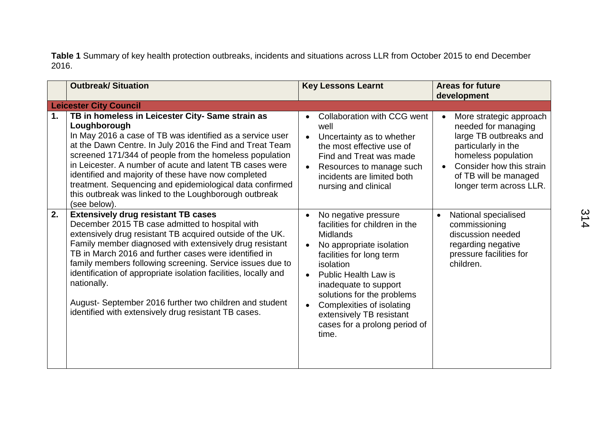**Table 1** Summary of key health protection outbreaks, incidents and situations across LLR from October 2015 to end December 2016.

|    | <b>Outbreak/Situation</b>                                                                                                                                                                                                                                                                                                                                                                                                                                                                                                                        | <b>Key Lessons Learnt</b>                                                                                                                                                                                                                                                                                                               | <b>Areas for future</b><br>development                                                                                                                                                                 |
|----|--------------------------------------------------------------------------------------------------------------------------------------------------------------------------------------------------------------------------------------------------------------------------------------------------------------------------------------------------------------------------------------------------------------------------------------------------------------------------------------------------------------------------------------------------|-----------------------------------------------------------------------------------------------------------------------------------------------------------------------------------------------------------------------------------------------------------------------------------------------------------------------------------------|--------------------------------------------------------------------------------------------------------------------------------------------------------------------------------------------------------|
|    | <b>Leicester City Council</b>                                                                                                                                                                                                                                                                                                                                                                                                                                                                                                                    |                                                                                                                                                                                                                                                                                                                                         |                                                                                                                                                                                                        |
| 1. | TB in homeless in Leicester City- Same strain as<br>Loughborough<br>In May 2016 a case of TB was identified as a service user<br>at the Dawn Centre. In July 2016 the Find and Treat Team<br>screened 171/344 of people from the homeless population<br>in Leicester. A number of acute and latent TB cases were<br>identified and majority of these have now completed<br>treatment. Sequencing and epidemiological data confirmed<br>this outbreak was linked to the Loughborough outbreak<br>(see below).                                     | Collaboration with CCG went<br>well<br>Uncertainty as to whether<br>the most effective use of<br>Find and Treat was made<br>Resources to manage such<br>incidents are limited both<br>nursing and clinical                                                                                                                              | More strategic approach<br>needed for managing<br>large TB outbreaks and<br>particularly in the<br>homeless population<br>Consider how this strain<br>of TB will be managed<br>longer term across LLR. |
| 2. | <b>Extensively drug resistant TB cases</b><br>December 2015 TB case admitted to hospital with<br>extensively drug resistant TB acquired outside of the UK.<br>Family member diagnosed with extensively drug resistant<br>TB in March 2016 and further cases were identified in<br>family members following screening. Service issues due to<br>identification of appropriate isolation facilities, locally and<br>nationally.<br>August- September 2016 further two children and student<br>identified with extensively drug resistant TB cases. | No negative pressure<br>facilities for children in the<br><b>Midlands</b><br>No appropriate isolation<br>facilities for long term<br>isolation<br><b>Public Health Law is</b><br>inadequate to support<br>solutions for the problems<br>Complexities of isolating<br>extensively TB resistant<br>cases for a prolong period of<br>time. | National specialised<br>$\bullet$<br>commissioning<br>discussion needed<br>regarding negative<br>pressure facilities for<br>children.                                                                  |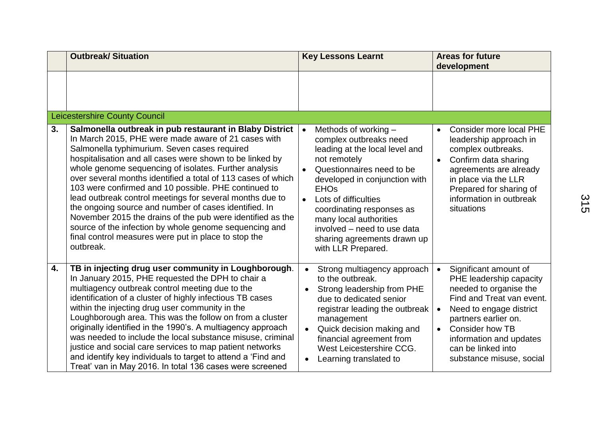|    | <b>Outbreak/ Situation</b>                                                                                                                                                                                                                                                                                                                                                                                                                                                                                                                                                                                                                                                                                                    | <b>Key Lessons Learnt</b>                                                                                                                                                                                                                                                                                                                                                               | <b>Areas for future</b><br>development                                                                                                                                                                                                                                                                   |
|----|-------------------------------------------------------------------------------------------------------------------------------------------------------------------------------------------------------------------------------------------------------------------------------------------------------------------------------------------------------------------------------------------------------------------------------------------------------------------------------------------------------------------------------------------------------------------------------------------------------------------------------------------------------------------------------------------------------------------------------|-----------------------------------------------------------------------------------------------------------------------------------------------------------------------------------------------------------------------------------------------------------------------------------------------------------------------------------------------------------------------------------------|----------------------------------------------------------------------------------------------------------------------------------------------------------------------------------------------------------------------------------------------------------------------------------------------------------|
|    |                                                                                                                                                                                                                                                                                                                                                                                                                                                                                                                                                                                                                                                                                                                               |                                                                                                                                                                                                                                                                                                                                                                                         |                                                                                                                                                                                                                                                                                                          |
|    | <b>Leicestershire County Council</b>                                                                                                                                                                                                                                                                                                                                                                                                                                                                                                                                                                                                                                                                                          |                                                                                                                                                                                                                                                                                                                                                                                         |                                                                                                                                                                                                                                                                                                          |
| 3. | Salmonella outbreak in pub restaurant in Blaby District<br>In March 2015, PHE were made aware of 21 cases with<br>Salmonella typhimurium. Seven cases required<br>hospitalisation and all cases were shown to be linked by<br>whole genome sequencing of isolates. Further analysis<br>over several months identified a total of 113 cases of which<br>103 were confirmed and 10 possible. PHE continued to<br>lead outbreak control meetings for several months due to<br>the ongoing source and number of cases identified. In<br>November 2015 the drains of the pub were identified as the<br>source of the infection by whole genome sequencing and<br>final control measures were put in place to stop the<br>outbreak. | Methods of working -<br>$\bullet$<br>complex outbreaks need<br>leading at the local level and<br>not remotely<br>Questionnaires need to be<br>$\bullet$<br>developed in conjunction with<br><b>EHOs</b><br>Lots of difficulties<br>$\bullet$<br>coordinating responses as<br>many local authorities<br>involved - need to use data<br>sharing agreements drawn up<br>with LLR Prepared. | Consider more local PHE<br>$\bullet$<br>leadership approach in<br>complex outbreaks.<br>Confirm data sharing<br>$\bullet$<br>agreements are already<br>in place via the LLR<br>Prepared for sharing of<br>information in outbreak<br>situations                                                          |
| 4. | TB in injecting drug user community in Loughborough.<br>In January 2015, PHE requested the DPH to chair a<br>multiagency outbreak control meeting due to the<br>identification of a cluster of highly infectious TB cases<br>within the injecting drug user community in the<br>Loughborough area. This was the follow on from a cluster<br>originally identified in the 1990's. A multiagency approach<br>was needed to include the local substance misuse, criminal<br>justice and social care services to map patient networks<br>and identify key individuals to target to attend a 'Find and<br>Treat' van in May 2016. In total 136 cases were screened                                                                 | Strong multiagency approach<br>to the outbreak.<br>Strong leadership from PHE<br>$\bullet$<br>due to dedicated senior<br>registrar leading the outbreak<br>management<br>Quick decision making and<br>$\bullet$<br>financial agreement from<br>West Leicestershire CCG.<br>Learning translated to<br>$\bullet$                                                                          | Significant amount of<br>$\bullet$<br>PHE leadership capacity<br>needed to organise the<br>Find and Treat van event.<br>Need to engage district<br>$\bullet$<br>partners earlier on.<br><b>Consider how TB</b><br>$\bullet$<br>information and updates<br>can be linked into<br>substance misuse, social |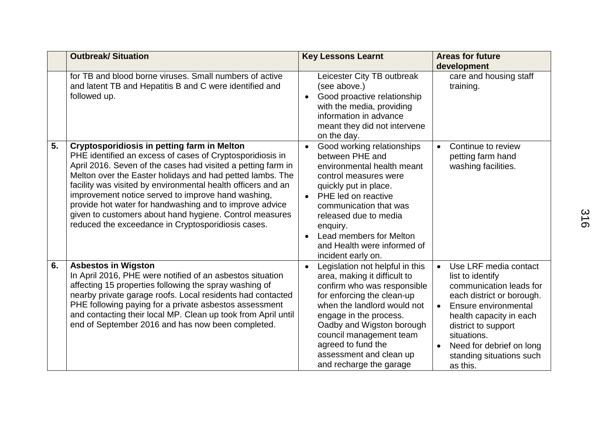|    | <b>Outbreak/ Situation</b>                                                                                                                                                                                                                                                                                                                                                                                                                                                                                                                     | <b>Key Lessons Learnt</b>                                                                                                                                                                                                                                                                                                              | <b>Areas for future</b><br>development                                                                                                                                                                                                                                                   |
|----|------------------------------------------------------------------------------------------------------------------------------------------------------------------------------------------------------------------------------------------------------------------------------------------------------------------------------------------------------------------------------------------------------------------------------------------------------------------------------------------------------------------------------------------------|----------------------------------------------------------------------------------------------------------------------------------------------------------------------------------------------------------------------------------------------------------------------------------------------------------------------------------------|------------------------------------------------------------------------------------------------------------------------------------------------------------------------------------------------------------------------------------------------------------------------------------------|
|    | for TB and blood borne viruses. Small numbers of active<br>and latent TB and Hepatitis B and C were identified and<br>followed up.                                                                                                                                                                                                                                                                                                                                                                                                             | Leicester City TB outbreak<br>(see above.)<br>Good proactive relationship<br>$\bullet$<br>with the media, providing<br>information in advance<br>meant they did not intervene<br>on the day.                                                                                                                                           | care and housing staff<br>training.                                                                                                                                                                                                                                                      |
| 5. | <b>Cryptosporidiosis in petting farm in Melton</b><br>PHE identified an excess of cases of Cryptosporidiosis in<br>April 2016. Seven of the cases had visited a petting farm in<br>Melton over the Easter holidays and had petted lambs. The<br>facility was visited by environmental health officers and an<br>improvement notice served to improve hand washing,<br>provide hot water for handwashing and to improve advice<br>given to customers about hand hygiene. Control measures<br>reduced the exceedance in Cryptosporidiosis cases. | Good working relationships<br>$\bullet$<br>between PHE and<br>environmental health meant<br>control measures were<br>quickly put in place.<br>PHE led on reactive<br>communication that was<br>released due to media<br>enquiry.<br>Lead members for Melton<br>$\bullet$<br>and Health were informed of<br>incident early on.          | Continue to review<br>$\bullet$<br>petting farm hand<br>washing facilities.                                                                                                                                                                                                              |
| 6. | <b>Asbestos in Wigston</b><br>In April 2016, PHE were notified of an asbestos situation<br>affecting 15 properties following the spray washing of<br>nearby private garage roofs. Local residents had contacted<br>PHE following paying for a private asbestos assessment<br>and contacting their local MP. Clean up took from April until<br>end of September 2016 and has now been completed.                                                                                                                                                | Legislation not helpful in this<br>$\bullet$<br>area, making it difficult to<br>confirm who was responsible<br>for enforcing the clean-up<br>when the landlord would not<br>engage in the process.<br>Oadby and Wigston borough<br>council management team<br>agreed to fund the<br>assessment and clean up<br>and recharge the garage | Use LRF media contact<br>$\bullet$<br>list to identify<br>communication leads for<br>each district or borough.<br>Ensure environmental<br>$\bullet$<br>health capacity in each<br>district to support<br>situations.<br>Need for debrief on long<br>standing situations such<br>as this. |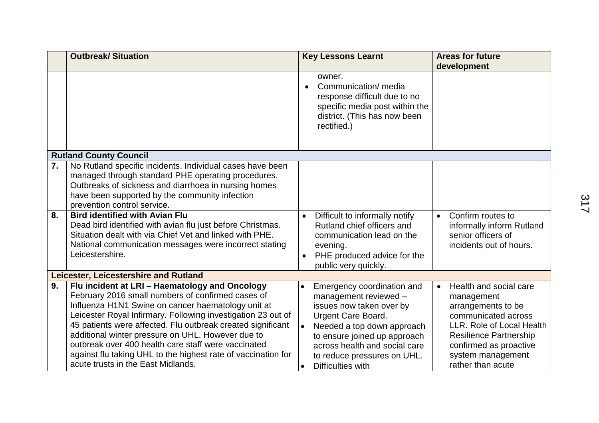|    | <b>Outbreak/ Situation</b>                                                                                                                                                                                                                                                                                                                                                                                                                                                                                  | <b>Key Lessons Learnt</b>                                                                                                                                                                                                                                                                 | <b>Areas for future</b><br>development                                                                                                                                                                                           |  |
|----|-------------------------------------------------------------------------------------------------------------------------------------------------------------------------------------------------------------------------------------------------------------------------------------------------------------------------------------------------------------------------------------------------------------------------------------------------------------------------------------------------------------|-------------------------------------------------------------------------------------------------------------------------------------------------------------------------------------------------------------------------------------------------------------------------------------------|----------------------------------------------------------------------------------------------------------------------------------------------------------------------------------------------------------------------------------|--|
|    |                                                                                                                                                                                                                                                                                                                                                                                                                                                                                                             | owner.<br>Communication/ media<br>$\bullet$<br>response difficult due to no<br>specific media post within the<br>district. (This has now been<br>rectified.)                                                                                                                              |                                                                                                                                                                                                                                  |  |
|    | <b>Rutland County Council</b>                                                                                                                                                                                                                                                                                                                                                                                                                                                                               |                                                                                                                                                                                                                                                                                           |                                                                                                                                                                                                                                  |  |
| 7. | No Rutland specific incidents. Individual cases have been<br>managed through standard PHE operating procedures.<br>Outbreaks of sickness and diarrhoea in nursing homes<br>have been supported by the community infection<br>prevention control service.                                                                                                                                                                                                                                                    |                                                                                                                                                                                                                                                                                           |                                                                                                                                                                                                                                  |  |
| 8. | <b>Bird identified with Avian Flu</b><br>Dead bird identified with avian flu just before Christmas.<br>Situation dealt with via Chief Vet and linked with PHE.<br>National communication messages were incorrect stating<br>Leicestershire.                                                                                                                                                                                                                                                                 | Difficult to informally notify<br>Rutland chief officers and<br>communication lead on the<br>evening.<br>PHE produced advice for the<br>public very quickly.                                                                                                                              | Confirm routes to<br>$\bullet$<br>informally inform Rutland<br>senior officers of<br>incidents out of hours.                                                                                                                     |  |
|    | Leicester, Leicestershire and Rutland                                                                                                                                                                                                                                                                                                                                                                                                                                                                       |                                                                                                                                                                                                                                                                                           |                                                                                                                                                                                                                                  |  |
| 9. | Flu incident at LRI - Haematology and Oncology<br>February 2016 small numbers of confirmed cases of<br>Influenza H1N1 Swine on cancer haematology unit at<br>Leicester Royal Infirmary. Following investigation 23 out of<br>45 patients were affected. Flu outbreak created significant<br>additional winter pressure on UHL. However due to<br>outbreak over 400 health care staff were vaccinated<br>against flu taking UHL to the highest rate of vaccination for<br>acute trusts in the East Midlands. | Emergency coordination and<br>management reviewed -<br>issues now taken over by<br><b>Urgent Care Board.</b><br>Needed a top down approach<br>$\bullet$<br>to ensure joined up approach<br>across health and social care<br>to reduce pressures on UHL.<br>Difficulties with<br>$\bullet$ | Health and social care<br>$\bullet$<br>management<br>arrangements to be<br>communicated across<br>LLR. Role of Local Health<br><b>Resilience Partnership</b><br>confirmed as proactive<br>system management<br>rather than acute |  |